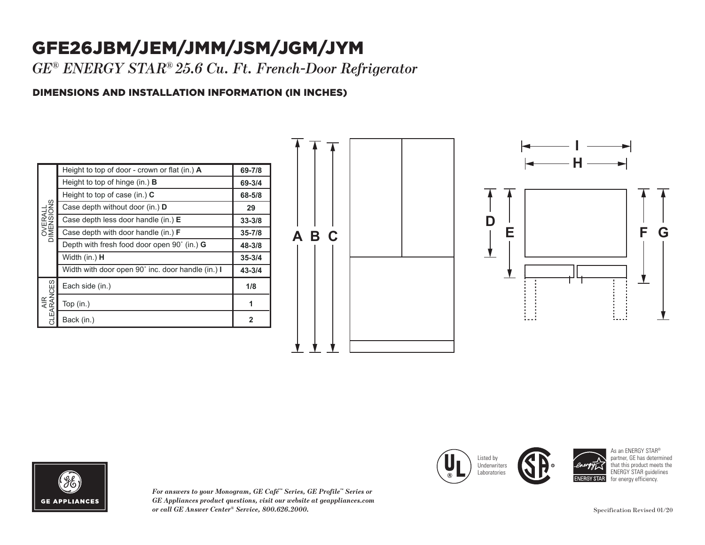## GFE26JBM/JEM/JMM/JSM/JGM/JYM

*GE® ENERGY STAR® 25.6 Cu. Ft. French-Door Refrigerator*

## DIMENSIONS AND INSTALLATION INFORMATION (IN INCHES)

|                           | Height to top of door - crown or flat (in.) A     | 69-7/8     |
|---------------------------|---------------------------------------------------|------------|
| DIMENSIONS                | Height to top of hinge $(in.)$ <b>B</b>           | 69-3/4     |
|                           | Height to top of case (in.) $C$                   | 68-5/8     |
|                           | Case depth without door (in.) D                   | 29         |
|                           | Case depth less door handle (in.) E               | $33 - 3/8$ |
|                           | Case depth with door handle (in.) $F$             | $35 - 7/8$ |
|                           | Depth with fresh food door open 90° (in.) G       | 48-3/8     |
|                           | Width (in.) <b>H</b>                              | $35 - 3/4$ |
| <b>SES</b><br>ARANC<br>ΨŘ | Width with door open 90° inc. door handle (in.) I | $43 - 3/4$ |
|                           | Each side (in.)                                   | 1/8        |
|                           | Top $(in.)$                                       | 1          |
|                           | Back (in.)                                        | 2          |







*For answers to your Monogram, GE Café™ Series, GE Profile™ Series or GE Appliances product questions, visit our website at geappliances.com or call GE Answer Center® Service, 800.626.2000.* 

Case depth with door handle (in.) **F**  $\left($  **II**  $\right)$  usted by  $\mathcal{H}$  Here  $\mathcal{H}$ Width with door open 90˚ inc. door handle (in.) **I** Listed by **Underwriters** Laboratories



As an ENERGY STAR® partner, GE has determined that this product meets the ENERGY STAR guidelines for energy efficiency